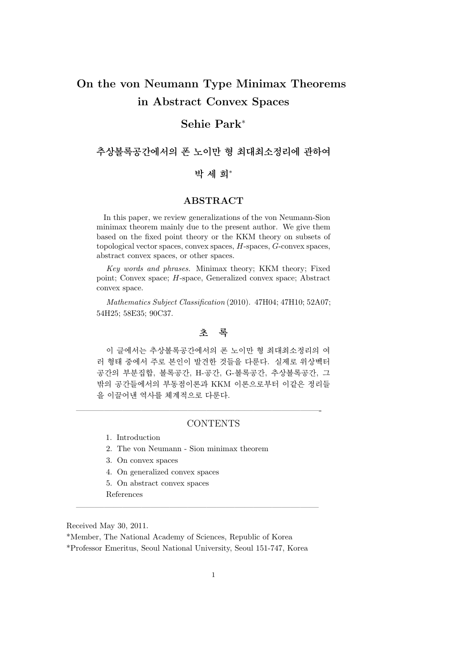# **On the von Neumann Type Minimax Theorems in Abstract Convex Spaces**

## **Sehie Park***<sup>∗</sup>*

**추상볼록공간에서의 폰 노이만 형 최대최소정리에 관하여**

## **박 세 희***<sup>∗</sup>*

## **ABSTRACT**

In this paper, we review generalizations of the von Neumann-Sion minimax theorem mainly due to the present author. We give them based on the fixed point theory or the KKM theory on subsets of topological vector spaces, convex spaces, *H*-spaces, *G*-convex spaces, abstract convex spaces, or other spaces.

*Key words and phrases.* Minimax theory; KKM theory; Fixed point; Convex space; *H*-space, Generalized convex space; Abstract convex space.

*Mathematics Subject Classification* (2010). 47H04; 47H10; 52A07; 54H25; 58E35; 90C37.

## **초 록**

이 글에서는 추상볼록공간에서의 폰 노이만 형 최대최소정리의 여 러 형태 중에서 주로 본인이 발견한 것들을 다룬다. 실제로 위상벡터 공간의 부분집합, 볼록공간, H-공간, G-볼록공간, 추상볼록공간, 그 밖의 공간들에서의 부동점이론과 KKM 이론으로부터 이같은 정리들 을 이끌어낸 역사를 체계적으로 다룬다.

#### **CONTENTS**

——————————————————————————-

- 1. Introduction
- 2. The von Neumann Sion minimax theorem
- 3. On convex spaces
- 4. On generalized convex spaces
- 5. On abstract convex spaces
- References

Received May 30, 2011.

\*Member, The National Academy of Sciences, Republic of Korea

\*Professor Emeritus, Seoul National University, Seoul 151-747, Korea

 $\frac{1}{\sqrt{2}}$  , and the contract of  $\frac{1}{\sqrt{2}}$  , and  $\frac{1}{\sqrt{2}}$  , and  $\frac{1}{\sqrt{2}}$  , and  $\frac{1}{\sqrt{2}}$  , and  $\frac{1}{\sqrt{2}}$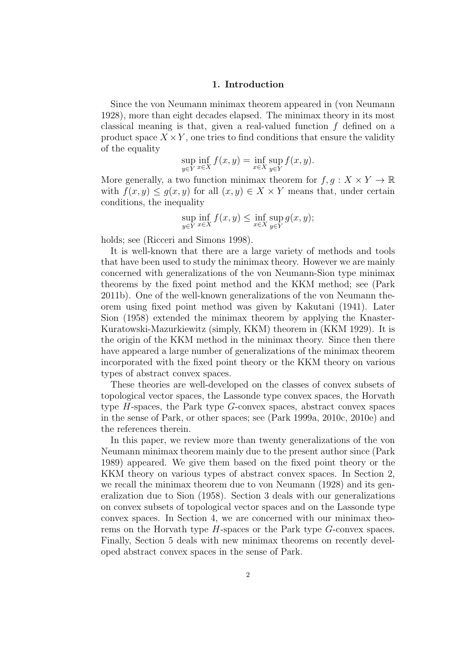#### **1. Introduction**

Since the von Neumann minimax theorem appeared in (von Neumann 1928), more than eight decades elapsed. The minimax theory in its most classical meaning is that, given a real-valued function *f* defined on a product space  $X \times Y$ , one tries to find conditions that ensure the validity of the equality

$$
\sup_{y \in Y} \inf_{x \in X} f(x, y) = \inf_{x \in X} \sup_{y \in Y} f(x, y).
$$

More generally, a two function minimax theorem for  $f, q: X \times Y \to \mathbb{R}$ with  $f(x, y) \leq g(x, y)$  for all  $(x, y) \in X \times Y$  means that, under certain conditions, the inequality

$$
\sup_{y \in Y} \inf_{x \in X} f(x, y) \le \inf_{x \in X} \sup_{y \in Y} g(x, y);
$$

holds; see (Ricceri and Simons 1998).

It is well-known that there are a large variety of methods and tools that have been used to study the minimax theory. However we are mainly concerned with generalizations of the von Neumann-Sion type minimax theorems by the fixed point method and the KKM method; see (Park 2011b). One of the well-known generalizations of the von Neumann theorem using fixed point method was given by Kakutani (1941). Later Sion (1958) extended the minimax theorem by applying the Knaster-Kuratowski-Mazurkiewitz (simply, KKM) theorem in (KKM 1929). It is the origin of the KKM method in the minimax theory. Since then there have appeared a large number of generalizations of the minimax theorem incorporated with the fixed point theory or the KKM theory on various types of abstract convex spaces.

These theories are well-developed on the classes of convex subsets of topological vector spaces, the Lassonde type convex spaces, the Horvath type *H*-spaces, the Park type *G*-convex spaces, abstract convex spaces in the sense of Park, or other spaces; see (Park 1999a, 2010c, 2010e) and the references therein.

In this paper, we review more than twenty generalizations of the von Neumann minimax theorem mainly due to the present author since (Park 1989) appeared. We give them based on the fixed point theory or the KKM theory on various types of abstract convex spaces. In Section 2, we recall the minimax theorem due to von Neumann (1928) and its generalization due to Sion (1958). Section 3 deals with our generalizations on convex subsets of topological vector spaces and on the Lassonde type convex spaces. In Section 4, we are concerned with our minimax theorems on the Horvath type *H*-spaces or the Park type *G*-convex spaces. Finally, Section 5 deals with new minimax theorems on recently developed abstract convex spaces in the sense of Park.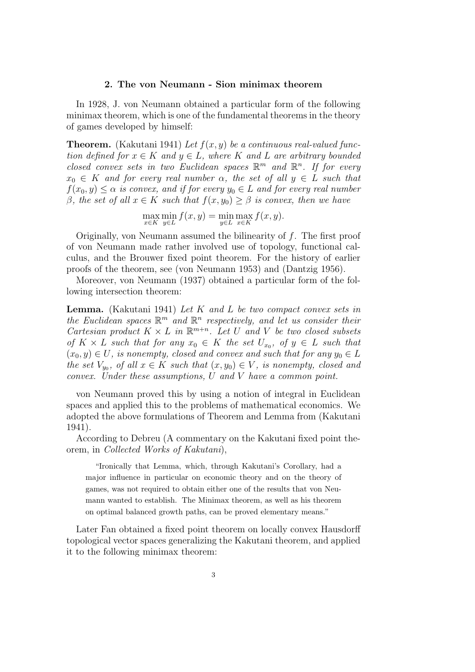### **2. The von Neumann - Sion minimax theorem**

In 1928, J. von Neumann obtained a particular form of the following minimax theorem, which is one of the fundamental theorems in the theory of games developed by himself:

**Theorem.** (Kakutani 1941) *Let f*(*x, y*) *be a continuous real-valued function defined for*  $x \in K$  *and*  $y \in L$ *, where*  $K$  *and*  $L$  *are arbitrary bounded closed convex sets in two Euclidean spaces*  $\mathbb{R}^m$  *and*  $\mathbb{R}^n$ *. If for every*  $x_0 \in K$  *and for every real number*  $\alpha$ *, the set of all*  $y \in L$  *such that*  $f(x_0, y) \leq \alpha$  *is convex, and if for every*  $y_0 \in L$  *and for every real number β, the set of all*  $x \in K$  *such that*  $f(x, y_0) \geq β$  *is convex, then we have* 

> max *x∈K* min *y∈L*  $f(x, y) = \min$ *y∈L* max *x∈K f*(*x, y*)*.*

Originally, von Neumann assumed the bilinearity of *f*. The first proof of von Neumann made rather involved use of topology, functional calculus, and the Brouwer fixed point theorem. For the history of earlier proofs of the theorem, see (von Neumann 1953) and (Dantzig 1956).

Moreover, von Neumann (1937) obtained a particular form of the following intersection theorem:

**Lemma.** (Kakutani 1941) *Let K and L be two compact convex sets in the Euclidean spaces*  $\mathbb{R}^m$  *and*  $\mathbb{R}^n$  *respectively, and let us consider their Cartesian product*  $K \times L$  *in*  $\mathbb{R}^{m+n}$ *. Let U and V be two closed subsets*  $of K \times L$  *such that for any*  $x_0 \in K$  *the set*  $U_{x_0}$ *, of*  $y \in L$  *such that*  $(x_0, y) \in U$ , is nonempty, closed and convex and such that for any  $y_0 \in L$ *the set*  $V_{y_0}$ , of all  $x \in K$  *such that*  $(x, y_0) \in V$ , *is nonempty, closed and convex. Under these assumptions, U and V have a common point.*

von Neumann proved this by using a notion of integral in Euclidean spaces and applied this to the problems of mathematical economics. We adopted the above formulations of Theorem and Lemma from (Kakutani 1941).

According to Debreu (A commentary on the Kakutani fixed point theorem, in *Collected Works of Kakutani*),

"Ironically that Lemma, which, through Kakutani's Corollary, had a major influence in particular on economic theory and on the theory of games, was not required to obtain either one of the results that von Neumann wanted to establish. The Minimax theorem, as well as his theorem on optimal balanced growth paths, can be proved elementary means."

Later Fan obtained a fixed point theorem on locally convex Hausdorff topological vector spaces generalizing the Kakutani theorem, and applied it to the following minimax theorem: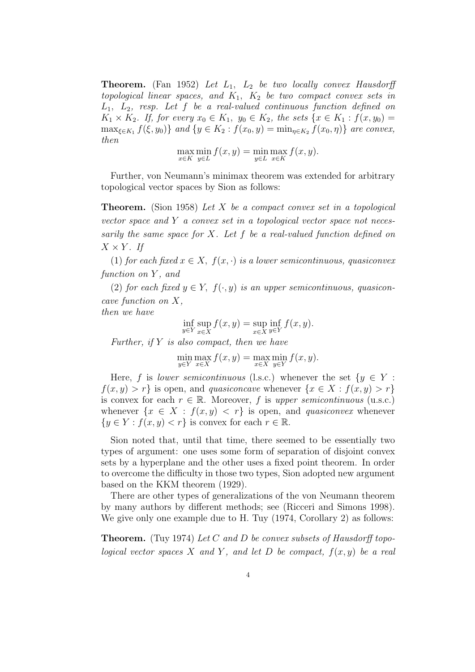**Theorem.** (Fan 1952) *Let L*1*, L*<sup>2</sup> *be two locally convex Hausdorff topological linear spaces, and K*1*, K*<sup>2</sup> *be two compact convex sets in L*1*, L*2*, resp. Let f be a real-valued continuous function defined on K*<sub>1</sub> × *K*<sub>2</sub>*. If, for every x*<sub>0</sub> ∈ *K*<sub>1</sub>*, y*<sub>0</sub> ∈ *K*<sub>2</sub>*, the sets* {*x* ∈ *K*<sub>1</sub> : *f*(*x, y*<sub>0</sub>) =  $\max_{\xi \in K_1} f(\xi, y_0) \}$  and  $\{y \in K_2 : f(x_0, y) = \min_{\eta \in K_2} f(x_0, \eta) \}$  are convex, *then*

$$
\max_{x \in K} \min_{y \in L} f(x, y) = \min_{y \in L} \max_{x \in K} f(x, y).
$$

Further, von Neumann's minimax theorem was extended for arbitrary topological vector spaces by Sion as follows:

**Theorem.** (Sion 1958) *Let X be a compact convex set in a topological vector space and Y a convex set in a topological vector space not necessarily the same space for X. Let f be a real-valued function defined on*  $X \times Y$ *. If* 

(1) *for each fixed*  $x \in X$ ,  $f(x, \cdot)$  *is a lower semicontinuous, quasiconvex function on Y , and*

(2) *for each fixed*  $y \in Y$ ,  $f(\cdot, y)$  *is an upper semicontinuous, quasiconcave function on X,*

*then we have*

$$
\inf_{y \in Y} \sup_{x \in X} f(x, y) = \sup_{x \in X} \inf_{y \in Y} f(x, y).
$$

*Further, if Y is also compact, then we have*

$$
\min_{y \in Y} \max_{x \in X} f(x, y) = \max_{x \in X} \min_{y \in Y} f(x, y).
$$

Here, *f* is *lower semicontinuous* (l.s.c.) whenever the set  $\{y \in Y :$  $f(x, y) > r$  is open, and *quasiconcave* whenever  $\{x \in X : f(x, y) > r\}$ is convex for each  $r \in \mathbb{R}$ . Moreover, f is *upper semicontinuous* (u.s.c.) whenever  $\{x \in X : f(x, y) < r\}$  is open, and *quasiconvex* whenever  ${y \in Y : f(x, y) < r}$  is convex for each  $r \in \mathbb{R}$ .

Sion noted that, until that time, there seemed to be essentially two types of argument: one uses some form of separation of disjoint convex sets by a hyperplane and the other uses a fixed point theorem. In order to overcome the difficulty in those two types, Sion adopted new argument based on the KKM theorem (1929).

There are other types of generalizations of the von Neumann theorem by many authors by different methods; see (Ricceri and Simons 1998). We give only one example due to H. Tuy (1974, Corollary 2) as follows:

**Theorem.** (Tuy 1974) *Let C and D be convex subsets of Hausdorff topological vector spaces*  $X$  *and*  $Y$ *, and let*  $D$  *be compact,*  $f(x, y)$  *be a real*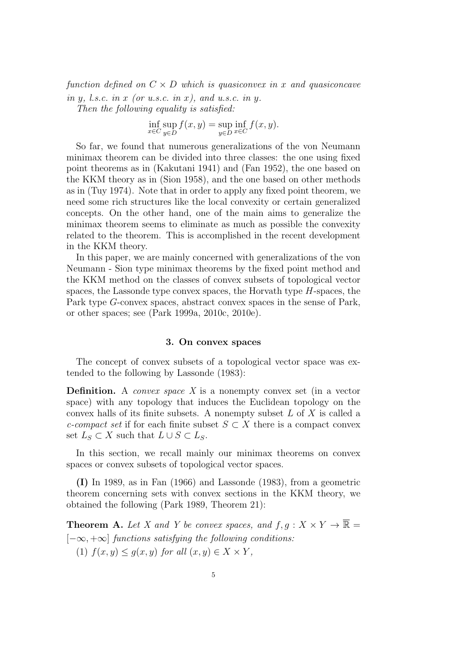*function defined on*  $C \times D$  *which is quasiconvex in x and quasiconcave in y, l.s.c. in x (or u.s.c. in x), and u.s.c. in y.*

*Then the following equality is satisfied:*

$$
\inf_{x \in C} \sup_{y \in D} f(x, y) = \sup_{y \in D} \inf_{x \in C} f(x, y).
$$

So far, we found that numerous generalizations of the von Neumann minimax theorem can be divided into three classes: the one using fixed point theorems as in (Kakutani 1941) and (Fan 1952), the one based on the KKM theory as in (Sion 1958), and the one based on other methods as in (Tuy 1974). Note that in order to apply any fixed point theorem, we need some rich structures like the local convexity or certain generalized concepts. On the other hand, one of the main aims to generalize the minimax theorem seems to eliminate as much as possible the convexity related to the theorem. This is accomplished in the recent development in the KKM theory.

In this paper, we are mainly concerned with generalizations of the von Neumann - Sion type minimax theorems by the fixed point method and the KKM method on the classes of convex subsets of topological vector spaces, the Lassonde type convex spaces, the Horvath type *H*-spaces, the Park type *G*-convex spaces, abstract convex spaces in the sense of Park, or other spaces; see (Park 1999a, 2010c, 2010e).

#### **3. On convex spaces**

The concept of convex subsets of a topological vector space was extended to the following by Lassonde (1983):

**Definition.** A *convex space X* is a nonempty convex set (in a vector space) with any topology that induces the Euclidean topology on the convex halls of its finite subsets. A nonempty subset *L* of *X* is called a *c*-compact set if for each finite subset  $S \subset X$  there is a compact convex set  $L_S$  ⊂ *X* such that  $L ∪ S ⊂ L_S$ .

In this section, we recall mainly our minimax theorems on convex spaces or convex subsets of topological vector spaces.

**(I)** In 1989, as in Fan (1966) and Lassonde (1983), from a geometric theorem concerning sets with convex sections in the KKM theory, we obtained the following (Park 1989, Theorem 21):

**Theorem A.** Let X and Y be convex spaces, and  $f, g: X \times Y \to \overline{\mathbb{R}}$ [*−∞,* +*∞*] *functions satisfying the following conditions:* (1)  $f(x, y) \leq g(x, y)$  *for all*  $(x, y) \in X \times Y$ ,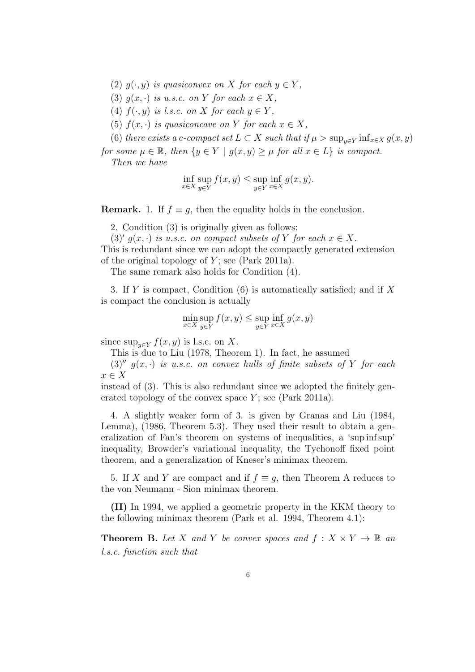- (2)  $q(\cdot, y)$  *is quasiconvex on X for each*  $y \in Y$ ,
- (3)  $q(x, \cdot)$  *is u.s.c. on Y for each*  $x \in X$ *,*
- (4)  $f(\cdot, y)$  *is l.s.c. on X for each*  $y \in Y$ ,
- (5)  $f(x, \cdot)$  *is quasiconcave on Y for each*  $x \in X$ *,*

(6) *there exists a c-compact set*  $L \subset X$  *such that if*  $\mu > \sup_{y \in Y} \inf_{x \in X} g(x, y)$ 

*for some*  $\mu \in \mathbb{R}$ *, then*  $\{y \in Y \mid g(x, y) \geq \mu \}$  *for all*  $x \in L\}$  *is compact. Then we have*

$$
\inf_{x \in X} \sup_{y \in Y} f(x, y) \le \sup_{y \in Y} \inf_{x \in X} g(x, y).
$$

**Remark.** 1. If  $f \equiv q$ , then the equality holds in the conclusion.

2. Condition (3) is originally given as follows:

 $(3)'$   $g(x, \cdot)$  *is u.s.c. on compact subsets of Y for each*  $x \in X$ *.* This is redundant since we can adopt the compactly generated extension of the original topology of *Y* ; see (Park 2011a).

The same remark also holds for Condition (4).

3. If *Y* is compact, Condition (6) is automatically satisfied; and if *X* is compact the conclusion is actually

$$
\min_{x \in X} \sup_{y \in Y} f(x, y) \le \sup_{y \in Y} \inf_{x \in X} g(x, y)
$$

since  $\sup_{y \in Y} f(x, y)$  is l.s.c. on *X*.

This is due to Liu (1978, Theorem 1). In fact, he assumed

 $(3)$ <sup>*''*</sup>  $g(x, \cdot)$  *is u.s.c. on convex hulls of finite subsets of Y for each x ∈ X*

instead of (3). This is also redundant since we adopted the finitely generated topology of the convex space *Y* ; see (Park 2011a).

4. A slightly weaker form of 3. is given by Granas and Liu (1984, Lemma), (1986, Theorem 5.3). They used their result to obtain a generalization of Fan's theorem on systems of inequalities, a 'sup inf sup' inequality, Browder's variational inequality, the Tychonoff fixed point theorem, and a generalization of Kneser's minimax theorem.

5. If *X* and *Y* are compact and if  $f \equiv g$ , then Theorem A reduces to the von Neumann - Sion minimax theorem.

**(II)** In 1994, we applied a geometric property in the KKM theory to the following minimax theorem (Park et al. 1994, Theorem 4.1):

**Theorem B.** Let *X* and *Y* be convex spaces and  $f: X \times Y \to \mathbb{R}$  and *l.s.c. function such that*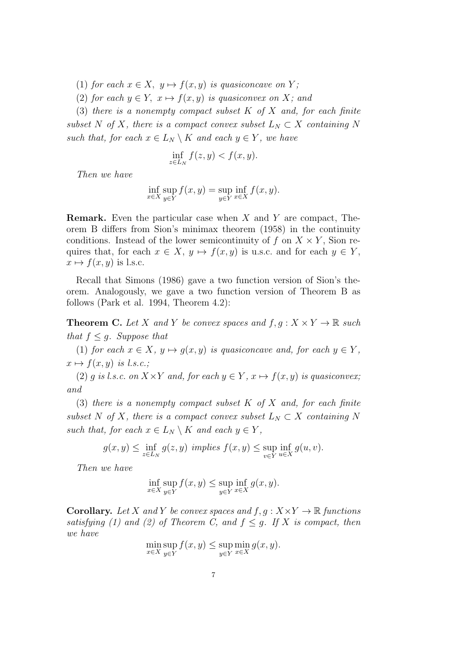- (1) *for each*  $x \in X$ ,  $y \mapsto f(x, y)$  *is quasiconcave on Y*;
- (2) *for each*  $y \in Y$ ,  $x \mapsto f(x, y)$  *is quasiconvex on X;* and

(3) *there is a nonempty compact subset K of X and, for each finite subset*  $N$  *of*  $X$ *, there is a compact convex subset*  $L_N \subset X$  *containing*  $N$ *such that, for each*  $x \in L_N \setminus K$  *and each*  $y \in Y$ *, we have* 

$$
\inf_{z \in L_N} f(z, y) < f(x, y).
$$

*Then we have*

$$
\inf_{x \in X} \sup_{y \in Y} f(x, y) = \sup_{y \in Y} \inf_{x \in X} f(x, y).
$$

**Remark.** Even the particular case when *X* and *Y* are compact, Theorem B differs from Sion's minimax theorem (1958) in the continuity conditions. Instead of the lower semicontinuity of  $f$  on  $X \times Y$ , Sion requires that, for each  $x \in X$ ,  $y \mapsto f(x, y)$  is u.s.c. and for each  $y \in Y$ ,  $x \mapsto f(x, y)$  is l.s.c.

Recall that Simons (1986) gave a two function version of Sion's theorem. Analogously, we gave a two function version of Theorem B as follows (Park et al. 1994, Theorem 4.2):

**Theorem C.** Let *X* and *Y* be convex spaces and  $f, g: X \times Y \to \mathbb{R}$  such *that*  $f < q$ *. Suppose that* 

(1) *for each*  $x \in X$ ,  $y \mapsto g(x, y)$  *is quasiconcave and, for each*  $y \in Y$ ,  $x \mapsto f(x, y)$  *is l.s.c.*;

(2) *g is l.s.c.* on  $X \times Y$  *and, for each*  $y \in Y$ ,  $x \mapsto f(x, y)$  *is quasiconvex; and*

(3) *there is a nonempty compact subset K of X and, for each finite subset*  $N$  *of*  $X$ *, there is a compact convex subset*  $L_N \subset X$  *containing*  $N$ *such that, for each*  $x \in L_N \setminus K$  *and each*  $y \in Y$ ,

$$
g(x, y) \le \inf_{z \in L_N} g(z, y) \implies f(x, y) \le \sup_{v \in Y} \inf_{u \in X} g(u, v).
$$

*Then we have*

$$
\inf_{x \in X} \sup_{y \in Y} f(x, y) \le \sup_{y \in Y} \inf_{x \in X} g(x, y).
$$

**Corollary.** Let *X* and *Y* be convex spaces and  $f, g: X \times Y \to \mathbb{R}$  functions *satisfying (1) and (2) of Theorem C, and*  $f \leq g$ . If X *is compact, then we have*

$$
\min_{x \in X} \sup_{y \in Y} f(x, y) \le \sup_{y \in Y} \min_{x \in X} g(x, y).
$$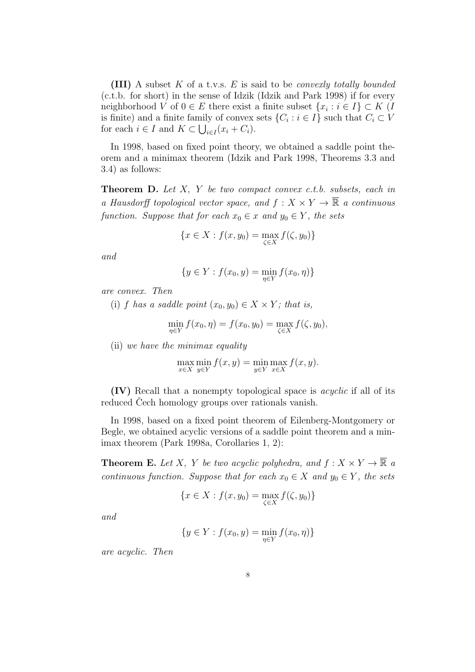**(III)** A subset *K* of a t.v.s. *E* is said to be *convexly totally bounded* (c.t.b. for short) in the sense of Idzik (Idzik and Park 1998) if for every neighborhood *V* of  $0 \in E$  there exist a finite subset  $\{x_i : i \in I\} \subset K$  (*I* is finite) and a finite family of convex sets  $\{C_i : i \in I\}$  such that  $C_i \subset V$ for each  $i \in I$  and  $K \subset \bigcup_{i \in I} (x_i + C_i)$ .

In 1998, based on fixed point theory, we obtained a saddle point theorem and a minimax theorem (Idzik and Park 1998, Theorems 3.3 and 3.4) as follows:

**Theorem D.** *Let X, Y be two compact convex c.t.b. subsets, each in a Hausdorff topological vector space, and*  $f: X \times Y \to \overline{\mathbb{R}}$  *a continuous function. Suppose that for each*  $x_0 \in x$  *and*  $y_0 \in Y$ *, the sets* 

$$
\{x \in X : f(x, y_0) = \max_{\zeta \in X} f(\zeta, y_0)\}
$$

*and*

$$
\{y \in Y : f(x_0, y) = \min_{\eta \in Y} f(x_0, \eta)\}
$$

*are convex. Then*

(i) *f* has a saddle point  $(x_0, y_0) \in X \times Y$ ; that is,

$$
\min_{\eta \in Y} f(x_0, \eta) = f(x_0, y_0) = \max_{\zeta \in X} f(\zeta, y_0),
$$

(ii) *we have the minimax equality*

$$
\max_{x \in X} \min_{y \in Y} f(x, y) = \min_{y \in Y} \max_{x \in X} f(x, y).
$$

**(IV)** Recall that a nonempty topological space is *acyclic* if all of its reduced Cech homology groups over rationals vanish.

In 1998, based on a fixed point theorem of Eilenberg-Montgomery or Begle, we obtained acyclic versions of a saddle point theorem and a minimax theorem (Park 1998a, Corollaries 1, 2):

**Theorem E.** Let *X*, *Y* be two acyclic polyhedra, and  $f: X \times Y \to \mathbb{R}$  a *continuous function. Suppose that for each*  $x_0 \in X$  *and*  $y_0 \in Y$ *, the sets* 

$$
\{x \in X : f(x, y_0) = \max_{\zeta \in X} f(\zeta, y_0)\}
$$

*and*

$$
\{y \in Y : f(x_0, y) = \min_{\eta \in Y} f(x_0, \eta)\}
$$

*are acyclic. Then*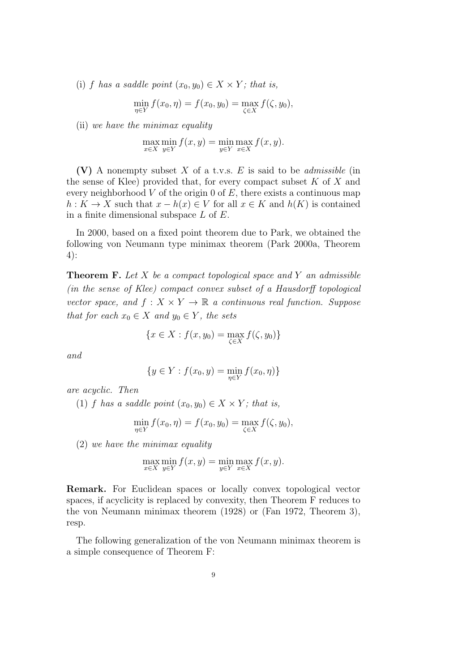(i) *f* has a saddle point  $(x_0, y_0) \in X \times Y$ ; that is,

$$
\min_{\eta \in Y} f(x_0, \eta) = f(x_0, y_0) = \max_{\zeta \in X} f(\zeta, y_0),
$$

(ii) *we have the minimax equality*

$$
\max_{x \in X} \min_{y \in Y} f(x, y) = \min_{y \in Y} \max_{x \in X} f(x, y).
$$

**(V)** A nonempty subset *X* of a t.v.s. *E* is said to be *admissible* (in the sense of Klee) provided that, for every compact subset *K* of *X* and every neighborhood *V* of the origin 0 of *E*, there exists a continuous map  $h: K \to X$  such that  $x - h(x) \in V$  for all  $x \in K$  and  $h(K)$  is contained in a finite dimensional subspace *L* of *E*.

In 2000, based on a fixed point theorem due to Park, we obtained the following von Neumann type minimax theorem (Park 2000a, Theorem 4):

**Theorem F.** *Let X be a compact topological space and Y an admissible (in the sense of Klee) compact convex subset of a Hausdorff topological vector space, and*  $f: X \times Y \to \mathbb{R}$  *a continuous real function. Suppose that for each*  $x_0 \in X$  *and*  $y_0 \in Y$ *, the sets* 

$$
\{x \in X : f(x, y_0) = \max_{\zeta \in X} f(\zeta, y_0)\}
$$

*and*

$$
\{y \in Y : f(x_0, y) = \min_{\eta \in Y} f(x_0, \eta)\}
$$

*are acyclic. Then*

(1) *f* has a saddle point  $(x_0, y_0) \in X \times Y$ ; that is,

$$
\min_{\eta \in Y} f(x_0, \eta) = f(x_0, y_0) = \max_{\zeta \in X} f(\zeta, y_0),
$$

(2) *we have the minimax equality*

$$
\max_{x \in X} \min_{y \in Y} f(x, y) = \min_{y \in Y} \max_{x \in X} f(x, y).
$$

**Remark.** For Euclidean spaces or locally convex topological vector spaces, if acyclicity is replaced by convexity, then Theorem F reduces to the von Neumann minimax theorem (1928) or (Fan 1972, Theorem 3), resp.

The following generalization of the von Neumann minimax theorem is a simple consequence of Theorem F: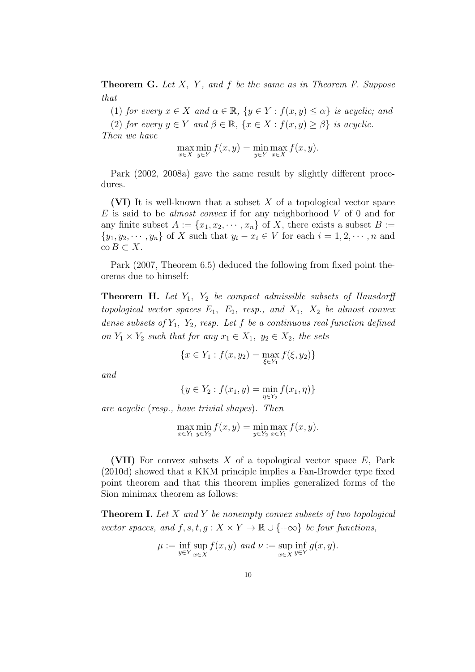**Theorem G.** *Let X, Y , and f be the same as in Theorem F. Suppose that*

(1) *for every*  $x \in X$  *and*  $\alpha \in \mathbb{R}$ ,  $\{y \in Y : f(x, y) \leq \alpha\}$  *is acyclic; and* 

(2) *for every*  $y \in Y$  *and*  $\beta \in \mathbb{R}$ ,  $\{x \in X : f(x, y) \geq \beta\}$  *is acyclic.* 

*Then we have*

$$
\max_{x \in X} \min_{y \in Y} f(x, y) = \min_{y \in Y} \max_{x \in X} f(x, y).
$$

Park (2002, 2008a) gave the same result by slightly different procedures.

**(VI)** It is well-known that a subset *X* of a topological vector space *E* is said to be *almost convex* if for any neighborhood *V* of 0 and for any finite subset  $A := \{x_1, x_2, \dots, x_n\}$  of X, there exists a subset  $B :=$  $\{y_1, y_2, \dots, y_n\}$  of X such that  $y_i - x_i \in V$  for each  $i = 1, 2, \dots, n$  and  $\operatorname{co} B \subset X$ .

Park (2007, Theorem 6.5) deduced the following from fixed point theorems due to himself:

**Theorem H.** *Let Y*1*, Y*<sup>2</sup> *be compact admissible subsets of Hausdorff topological vector spaces*  $E_1$ ,  $E_2$ , *resp., and*  $X_1$ ,  $X_2$  *be almost convex dense subsets of Y*1*, Y*2*, resp. Let f be a continuous real function defined on*  $Y_1 \times Y_2$  *such that for any*  $x_1 \in X_1$ ,  $y_2 \in X_2$ , the sets

$$
\{x \in Y_1 : f(x, y_2) = \max_{\xi \in Y_1} f(\xi, y_2)\}
$$

*and*

$$
\{y \in Y_2 : f(x_1, y) = \min_{\eta \in Y_2} f(x_1, \eta)\}
$$

*are acyclic* (*resp., have trivial shapes*)*. Then*

max *x∈Y*<sup>1</sup> min *y∈Y*<sup>2</sup>  $f(x, y) = \min$ *y∈Y*<sup>2</sup> max *x∈Y*<sup>1</sup> *f*(*x, y*)*.*

**(VII)** For convex subsets *X* of a topological vector space *E*, Park (2010d) showed that a KKM principle implies a Fan-Browder type fixed point theorem and that this theorem implies generalized forms of the Sion minimax theorem as follows:

**Theorem I.** *Let X and Y be nonempty convex subsets of two topological vector spaces, and*  $f, s, t, g: X \times Y \to \mathbb{R} \cup \{+\infty\}$  *be four functions,* 

$$
\mu := \inf_{y \in Y} \sup_{x \in X} f(x, y) \text{ and } \nu := \sup_{x \in X} \inf_{y \in Y} g(x, y).
$$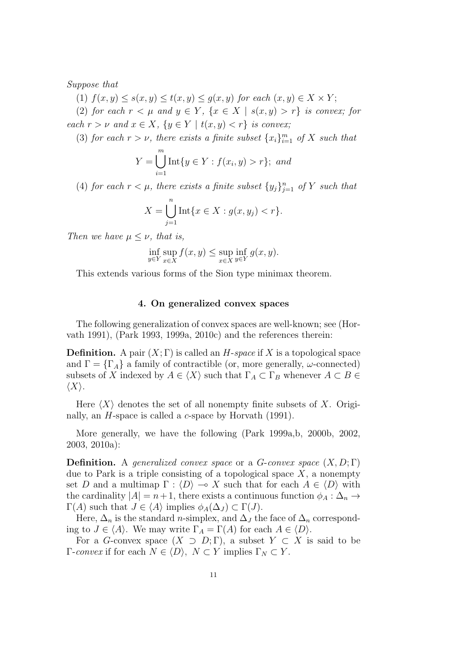*Suppose that*

 $f(x, y) \leq s(x, y) \leq t(x, y) \leq g(x, y)$  *for each*  $(x, y) \in X \times Y$ ;

(2) *for each*  $r < \mu$  *and*  $y \in Y$ ,  $\{x \in X \mid s(x, y) > r\}$  *is convex; for each*  $r > \nu$  *and*  $x \in X$ ,  $\{y \in Y \mid t(x, y) < r\}$  *is convex;* 

(3) *for each*  $r > \nu$ *, there exists a finite subset*  $\{x_i\}_{i=1}^m$  *of*  $X$  *such that* 

$$
Y = \bigcup_{i=1}^{m} \text{Int}\{y \in Y : f(x_i, y) > r\}; \text{ and}
$$

(4) *for each*  $r < \mu$ *, there exists a finite subset*  $\{y_j\}_{j=1}^n$  *of*  $Y$  *such that* 

$$
X = \bigcup_{j=1}^{n} \text{Int}\{x \in X : g(x, y_j) < r\}.
$$

*Then we have*  $\mu \leq \nu$ *, that is,* 

$$
\inf_{y \in Y} \sup_{x \in X} f(x, y) \le \sup_{x \in X} \inf_{y \in Y} g(x, y).
$$

This extends various forms of the Sion type minimax theorem.

#### **4. On generalized convex spaces**

The following generalization of convex spaces are well-known; see (Horvath 1991), (Park 1993, 1999a, 2010c) and the references therein:

**Definition.** A pair  $(X;\Gamma)$  is called an *H*-*space* if *X* is a topological space and  $\Gamma = {\Gamma_A}$  a family of contractible (or, more generally, *ω*-connected) subsets of *X* indexed by  $A \in \langle X \rangle$  such that  $\Gamma_A \subset \Gamma_B$  whenever  $A \subset B$ *⟨X⟩*.

Here  $\langle X \rangle$  denotes the set of all nonempty finite subsets of X. Originally, an *H*-space is called a *c*-space by Horvath (1991).

More generally, we have the following (Park 1999a,b, 2000b, 2002, 2003, 2010a):

**Definition.** A *generalized convex space* or a *G*-*convex space* (*X, D*; Γ) due to Park is a triple consisting of a topological space *X*, a nonempty set *D* and a multimap  $\Gamma : \langle D \rangle \longrightarrow X$  such that for each  $A \in \langle D \rangle$  with the cardinality  $|A| = n+1$ , there exists a continuous function  $\phi_A : \Delta_n \to$  $\Gamma(A)$  such that  $J \in \langle A \rangle$  implies  $\phi_A(\Delta_J) \subset \Gamma(J)$ .

Here,  $\Delta_n$  is the standard *n*-simplex, and  $\Delta_j$  the face of  $\Delta_n$  corresponding to  $J \in \langle A \rangle$ . We may write  $\Gamma_A = \Gamma(A)$  for each  $A \in \langle D \rangle$ .

For a *G*-convex space  $(X \supset D; \Gamma)$ , a subset  $Y \subset X$  is said to be *Γ*-*convex* if for each *N*  $\in$   $\langle D \rangle$ *, N* ⊂ *Y* implies Γ<sub>*N*</sub> ⊂ *Y*.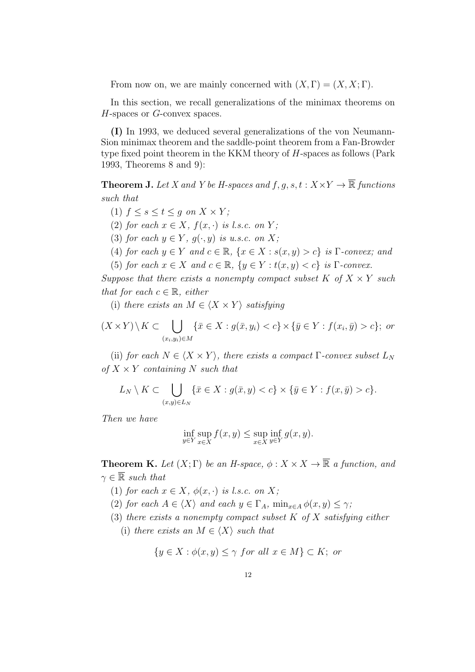From now on, we are mainly concerned with  $(X, \Gamma) = (X, X; \Gamma)$ .

In this section, we recall generalizations of the minimax theorems on *H*-spaces or *G*-convex spaces.

**(I)** In 1993, we deduced several generalizations of the von Neumann-Sion minimax theorem and the saddle-point theorem from a Fan-Browder type fixed point theorem in the KKM theory of *H*-spaces as follows (Park 1993, Theorems 8 and 9):

**Theorem J.** *Let X* and *Y be H*-spaces and  $f, g, s, t : X \times Y \rightarrow \mathbb{R}$  *functions such that*

- $(1)$   $f \leq s \leq t \leq g$  on  $X \times Y$ ;
- (2) *for each*  $x \in X$ *,*  $f(x, \cdot)$  *is l.s.c. on*  $Y$ *;*
- (3) *for each*  $y \in Y$ ,  $g(\cdot, y)$  *is u.s.c. on*  $X$ ;
- (4) *for each*  $y \in Y$  *and*  $c \in \mathbb{R}$ ,  $\{x \in X : s(x, y) > c\}$  *is*  $\Gamma$ *-convex; and*
- (5) *for each*  $x \in X$  *and*  $c \in \mathbb{R}$ ,  $\{y \in Y : t(x, y) < c\}$  *is*  $\Gamma$ *-convex.*

*Suppose that there exists a nonempty compact subset*  $K$  *of*  $X \times Y$  *such that for each*  $c \in \mathbb{R}$ *, either* 

(i) *there exists an*  $M \in \langle X \times Y \rangle$  *satisfying* 

$$
(X \times Y) \setminus K \subset \bigcup_{(x_i, y_i) \in M} \{ \bar{x} \in X : g(\bar{x}, y_i) < c \} \times \{ \bar{y} \in Y : f(x_i, \bar{y}) > c \}; \text{ or}
$$

(ii) *for each*  $N \in \langle X \times Y \rangle$ *, there exists a compact*  $\Gamma$ *-convex subset*  $L_N$ *of X × Y containing N such that*

$$
L_N \setminus K \subset \bigcup_{(x,y)\in L_N} \{ \bar{x} \in X : g(\bar{x}, y) < c \} \times \{ \bar{y} \in Y : f(x, \bar{y}) > c \}.
$$

*Then we have*

$$
\inf_{y \in Y} \sup_{x \in X} f(x, y) \le \sup_{x \in X} \inf_{y \in Y} g(x, y).
$$

**Theorem K.** *Let*  $(X; \Gamma)$  *be an H-space,*  $\phi: X \times X \to \overline{\mathbb{R}}$  *a function, and*  $\gamma \in \overline{\mathbb{R}}$  *such that* 

- (1) *for each*  $x \in X$ *,*  $\phi(x, \cdot)$  *is l.s.c. on*  $X$ *;*
- (2) *for each*  $A \in \langle X \rangle$  *and each*  $y \in \Gamma_A$ ,  $\min_{x \in A} \phi(x, y) \leq \gamma$ ;
- (3) *there exists a nonempty compact subset K of X satisfying either*
	- (i) *there exists an*  $M \in \langle X \rangle$  *such that*

$$
\{y \in X : \phi(x, y) \le \gamma \text{ for all } x \in M\} \subset K; \text{ or}
$$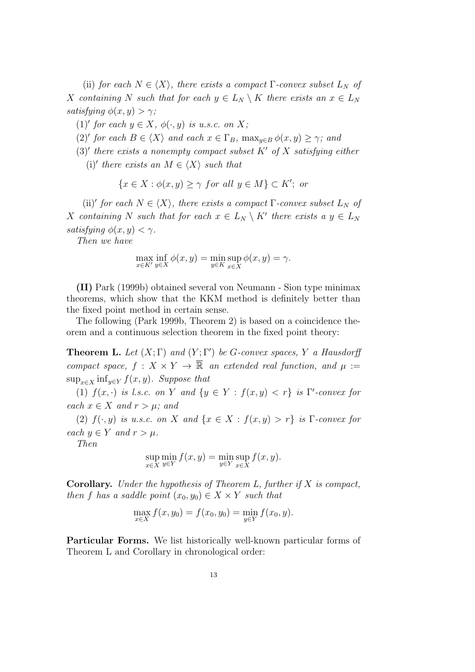(ii) *for each*  $N \in \langle X \rangle$ *, there exists a compact*  $\Gamma$ *-convex subset*  $L_N$  *of X containing N such that for each*  $y \in L_N \setminus K$  *there exists an*  $x \in L_N$ *satisfying*  $\phi(x, y) > \gamma$ ;

 $(1)'$  *for each*  $y \in X$ *,*  $\phi(\cdot, y)$  *is u.s.c. on X;* 

- $(2)'$  *for each*  $B \in \langle X \rangle$  *and each*  $x \in \Gamma_B$ ,  $\max_{y \in B} \phi(x, y) \geq \gamma$ ; *and*
- (3)*′ there exists a nonempty compact subset K′ of X satisfying either*  $(i)'$  *there exists an*  $M \in \langle X \rangle$  *such that*

$$
\{x \in X : \phi(x, y) \ge \gamma \text{ for all } y \in M\} \subset K'; \text{ or}
$$

(ii)<sup>'</sup> for each  $N \in \langle X \rangle$ , there exists a compact  $\Gamma$ -convex subset  $L_N$  of *X containing N such that for each*  $x \in L_N \setminus K'$  *there exists*  $a \ y \in L_N$ *satisfying*  $\phi(x, y) < \gamma$ *.* 

*Then we have*

$$
\max_{x \in K'} \inf_{y \in X} \phi(x, y) = \min_{y \in K} \sup_{x \in X} \phi(x, y) = \gamma.
$$

**(II)** Park (1999b) obtained several von Neumann - Sion type minimax theorems, which show that the KKM method is definitely better than the fixed point method in certain sense.

The following (Park 1999b, Theorem 2) is based on a coincidence theorem and a continuous selection theorem in the fixed point theory:

**Theorem L.** Let  $(X; \Gamma)$  and  $(Y; \Gamma')$  be *G*-convex spaces,  $Y$  a Hausdorff *compact space,*  $f: X \times Y \to \overline{\mathbb{R}}$  *an extended real function, and*  $\mu :=$ sup<sub>*x*∈</sub>*x* inf<sub>*y*∈*Y*</sub>  $f(x, y)$ *. Suppose that* 

(1)  $f(x, \cdot)$  *is l.s.c. on Y and*  $\{y \in Y : f(x, y) < r\}$  *is*  $\Gamma'$ -convex for *each*  $x \in X$  *and*  $r > \mu$ *; and* 

(2)  $f(\cdot, y)$  *is u.s.c. on X* and  $\{x \in X : f(x, y) > r\}$  *is*  $\Gamma$ *-convex for each*  $y \in Y$  *and*  $r > \mu$ *.* 

*Then*

$$
\sup_{x \in X} \min_{y \in Y} f(x, y) = \min_{y \in Y} \sup_{x \in X} f(x, y).
$$

**Corollary.** *Under the hypothesis of Theorem L, further if X is compact, then f has a saddle point*  $(x_0, y_0) \in X \times Y$  *such that* 

$$
\max_{x \in X} f(x, y_0) = f(x_0, y_0) = \min_{y \in Y} f(x_0, y).
$$

**Particular Forms.** We list historically well-known particular forms of Theorem L and Corollary in chronological order: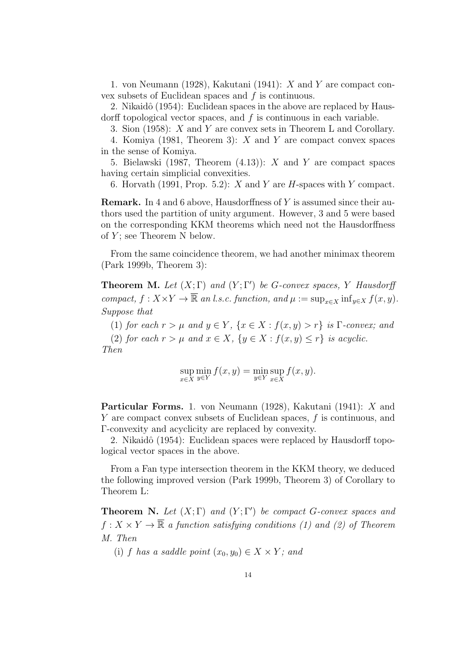1. von Neumann (1928), Kakutani (1941): *X* and *Y* are compact convex subsets of Euclidean spaces and *f* is continuous.

2. Nikaidô (1954): Euclidean spaces in the above are replaced by Hausdorff topological vector spaces, and *f* is continuous in each variable.

3. Sion (1958): *X* and *Y* are convex sets in Theorem L and Corollary.

4. Komiya (1981, Theorem 3): *X* and *Y* are compact convex spaces in the sense of Komiya.

5. Bielawski (1987, Theorem (4.13)): *X* and *Y* are compact spaces having certain simplicial convexities.

6. Horvath (1991, Prop. 5.2): *X* and *Y* are *H*-spaces with *Y* compact.

**Remark.** In 4 and 6 above, Hausdorffness of *Y* is assumed since their authors used the partition of unity argument. However, 3 and 5 were based on the corresponding KKM theorems which need not the Hausdorffness of *Y* ; see Theorem N below.

From the same coincidence theorem, we had another minimax theorem (Park 1999b, Theorem 3):

**Theorem M.** Let  $(X; \Gamma)$  and  $(Y; \Gamma')$  be *G*-convex spaces, *Y* Hausdorff *compact,*  $f: X \times Y \to \overline{\mathbb{R}}$  *an l.s.c. function, and*  $\mu := \sup_{x \in X} \inf_{y \in X} f(x, y)$ . *Suppose that*

(1) *for each*  $r > \mu$  *and*  $y \in Y$ ,  $\{x \in X : f(x, y) > r\}$  *is*  $\Gamma$ *-convex; and* 

(2) *for each*  $r > \mu$  *and*  $x \in X$ ,  $\{y \in X : f(x, y) \leq r\}$  *is acyclic. Then*

$$
\sup_{x \in X} \min_{y \in Y} f(x, y) = \min_{y \in Y} \sup_{x \in X} f(x, y).
$$

**Particular Forms.** 1. von Neumann (1928), Kakutani (1941): *X* and *Y* are compact convex subsets of Euclidean spaces, *f* is continuous, and Γ-convexity and acyclicity are replaced by convexity.

2. Nikaidô (1954): Euclidean spaces were replaced by Hausdorff topological vector spaces in the above.

From a Fan type intersection theorem in the KKM theory, we deduced the following improved version (Park 1999b, Theorem 3) of Corollary to Theorem L:

**Theorem N.** *Let*  $(X;\Gamma)$  *and*  $(Y;\Gamma')$  *be compact G-convex spaces and*  $f: X \times Y \to \overline{\mathbb{R}}$  *a function satisfying conditions (1) and (2) of Theorem M. Then*

(i) *f* has a saddle point  $(x_0, y_0) \in X \times Y$ ; and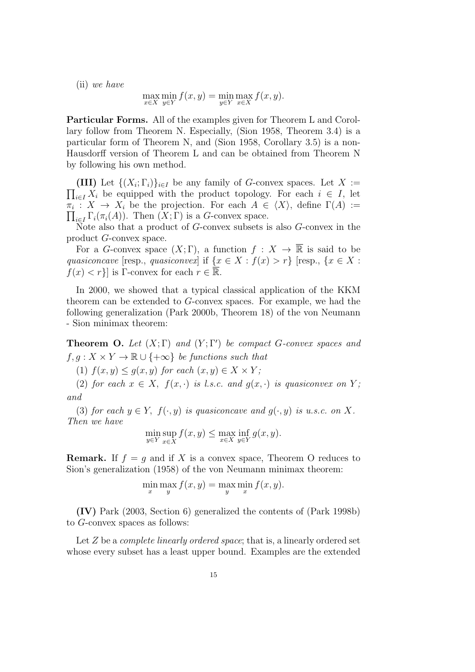(ii) *we have*

$$
\max_{x \in X} \min_{y \in Y} f(x, y) = \min_{y \in Y} \max_{x \in X} f(x, y).
$$

**Particular Forms.** All of the examples given for Theorem L and Corollary follow from Theorem N. Especially, (Sion 1958, Theorem 3.4) is a particular form of Theorem N, and (Sion 1958, Corollary 3.5) is a non-Hausdorff version of Theorem L and can be obtained from Theorem N by following his own method.

**(III)** Let  $\{(X_i; \Gamma_i)\}_{i \in I}$  be any family of *G*-convex spaces. Let  $X :=$  $\prod_{i \in I} X_i$  be equipped with the product topology. For each *i* ∈ *I*, let  $\pi_i: X \to X_i$  be the projection. For each  $A \in \langle X \rangle$ , define  $\Gamma(A) :=$  $\prod_{i \in I} \Gamma_i(\pi_i(A))$ . Then  $(X; \Gamma)$  is a *G*-convex space.

Note also that a product of *G*-convex subsets is also *G*-convex in the product *G*-convex space.

For a *G*-convex space  $(X;\Gamma)$ , a function  $f: X \to \overline{\mathbb{R}}$  is said to be *quasiconcave* [resp., *quasiconvex*] if  $\{x \in X : f(x) > r\}$  [resp.,  $\{x \in X : f(x) > r\}$ ]  $f(x) < r$ } is Γ-convex for each  $r \in \overline{\mathbb{R}}$ .

In 2000, we showed that a typical classical application of the KKM theorem can be extended to *G*-convex spaces. For example, we had the following generalization (Park 2000b, Theorem 18) of the von Neumann - Sion minimax theorem:

**Theorem O.** *Let* (*X*; Γ) *and* (*Y* ; Γ*′* ) *be compact G-convex spaces and*  $f, g: X \times Y \to \mathbb{R} \cup \{+\infty\}$  *be functions such that* 

(1)  $f(x, y) \leq g(x, y)$  *for each*  $(x, y) \in X \times Y$ ;

(2) *for each*  $x \in X$ ,  $f(x, \cdot)$  *is l.s.c. and*  $g(x, \cdot)$  *is quasiconvex on*  $Y$ ; *and*

(3) *for each*  $y \in Y$ ,  $f(\cdot, y)$  *is quasiconcave and*  $g(\cdot, y)$  *is u.s.c. on X. Then we have*

$$
\min_{y \in Y} \sup_{x \in X} f(x, y) \le \max_{x \in X} \inf_{y \in Y} g(x, y).
$$

**Remark.** If  $f = g$  and if *X* is a convex space, Theorem O reduces to Sion's generalization (1958) of the von Neumann minimax theorem:

$$
\min_x \max_y f(x, y) = \max_y \min_x f(x, y).
$$

**(IV)** Park (2003, Section 6) generalized the contents of (Park 1998b) to *G*-convex spaces as follows:

Let *Z* be a *complete linearly ordered space*; that is, a linearly ordered set whose every subset has a least upper bound. Examples are the extended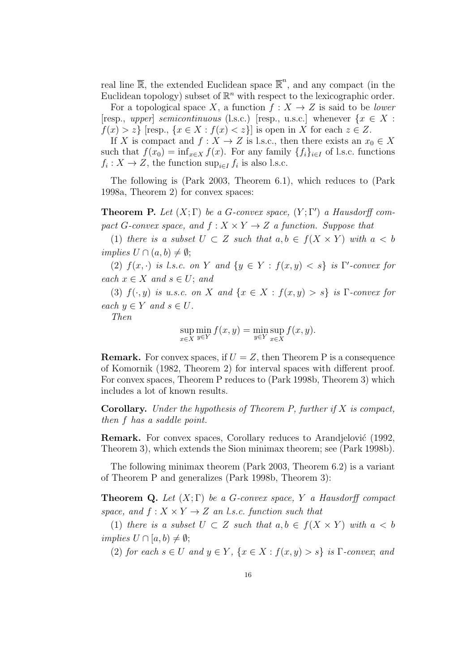real line  $\overline{\mathbb{R}}$ , the extended Euclidean space  $\overline{\mathbb{R}}^n$ , and any compact (in the Euclidean topology) subset of  $\mathbb{R}^n$  with respect to the lexicographic order.

For a topological space *X*, a function  $f: X \to Z$  is said to be *lower*  $[resp., upper]$  *semicontinuous* (l.s.c.) [resp., u.s.c.] whenever  $\{x \in X :$  $f(x) > z$ } [resp.,  $\{x \in X : f(x) < z\}$ ] is open in *X* for each  $z \in Z$ .

If *X* is compact and  $f: X \to Z$  is l.s.c., then there exists an  $x_0 \in X$ such that  $f(x_0) = \inf_{x \in X} f(x)$ . For any family  $\{f_i\}_{i \in I}$  of l.s.c. functions  $f_i: X \to Z$ , the function  $\sup_{i \in I} f_i$  is also l.s.c.

The following is (Park 2003, Theorem 6.1), which reduces to (Park 1998a, Theorem 2) for convex spaces:

**Theorem P.** Let  $(X;\Gamma)$  be a *G*-convex space,  $(Y;\Gamma')$  a Hausdorff com*pact G*-convex space, and  $f: X \times Y \rightarrow Z$  *a function. Suppose that* 

(1) *there is a subset*  $U \subset Z$  *such that*  $a, b \in f(X \times Y)$  *with*  $a < b$  $implies U \cap (a, b) \neq \emptyset;$ 

(2)  $f(x, \cdot)$  *is l.s.c. on Y and*  $\{y \in Y : f(x, y) < s\}$  *is*  $\Gamma'$ -convex for  $\text{each } x \in X \text{ and } s \in U; \text{ and }$ 

(3)  $f(\cdot, y)$  *is u.s.c. on X* and  $\{x \in X : f(x, y) > s\}$  *is* Γ*-convex for*  $\forall x \in Y \text{ and } s \in U.$ 

*Then*

$$
\sup_{x \in X} \min_{y \in Y} f(x, y) = \min_{y \in Y} \sup_{x \in X} f(x, y).
$$

**Remark.** For convex spaces, if  $U = Z$ , then Theorem P is a consequence of Komornik (1982, Theorem 2) for interval spaces with different proof. For convex spaces, Theorem P reduces to (Park 1998b, Theorem 3) which includes a lot of known results.

**Corollary.** *Under the hypothesis of Theorem P, further if X is compact, then f has a saddle point.*

**Remark.** For convex spaces, Corollary reduces to Arandjelović (1992, Theorem 3), which extends the Sion minimax theorem; see (Park 1998b).

The following minimax theorem (Park 2003, Theorem 6.2) is a variant of Theorem P and generalizes (Park 1998b, Theorem 3):

**Theorem Q.** *Let* (*X*; Γ) *be a G-convex space, Y a Hausdorff compact space, and*  $f: X \times Y \rightarrow Z$  *an l.s.c. function such that* 

(1) *there is a subset*  $U \subset Z$  *such that*  $a, b \in f(X \times Y)$  *with*  $a < b$  $implies U \cap [a, b) \neq \emptyset;$ 

(2) *for each*  $s \in U$  *and*  $y \in Y$ ,  $\{x \in X : f(x, y) > s\}$  *is*  $\Gamma$ *-convex*; *and*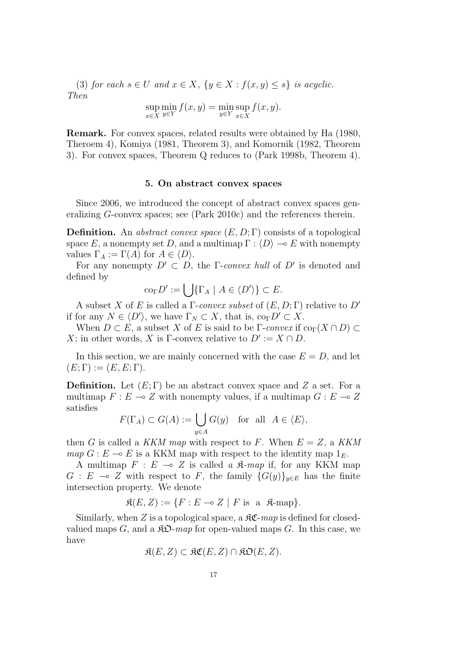(3) *for each*  $s \in U$  *and*  $x \in X$ ,  $\{y \in X : f(x, y) \leq s\}$  *is acyclic. Then*

$$
\sup_{x \in X} \min_{y \in Y} f(x, y) = \min_{y \in Y} \sup_{x \in X} f(x, y).
$$

**Remark.** For convex spaces, related results were obtained by Ha (1980, Theroem 4), Komiya (1981, Theorem 3), and Komornik (1982, Theorem 3). For convex spaces, Theorem Q reduces to (Park 1998b, Theorem 4).

#### **5. On abstract convex spaces**

Since 2006, we introduced the concept of abstract convex spaces generalizing *G*-convex spaces; see (Park 2010c) and the references therein.

**Definition.** An *abstract convex space* (*E, D*; Γ) consists of a topological space *E*, a nonempty set *D*, and a multimap  $\Gamma : \langle D \rangle \longrightarrow E$  with nonempty values  $\Gamma_A := \Gamma(A)$  for  $A \in \langle D \rangle$ .

For any nonempty  $D' \subset D$ , the  $\Gamma$ -*convex hull* of  $D'$  is denoted and defined by

$$
\operatorname{co}_{\Gamma} D' := \bigcup \{ \Gamma_A \mid A \in \langle D' \rangle \} \subset E.
$$

A subset *X* of *E* is called a Γ-*convex subset* of (*E, D*; Γ) relative to *D′* if for any  $N \in \langle D' \rangle$ , we have  $\Gamma_N \subset X$ , that is,  $\text{co}_{\Gamma} D' \subset X$ .

When  $D \subset E$ , a subset *X* of *E* is said to be  $\Gamma$ -*convex* if  $\text{co}_{\Gamma}(X \cap D) \subset$ *X*; in other words, *X* is Γ-convex relative to  $D' := X \cap D$ .

In this section, we are mainly concerned with the case  $E = D$ , and let  $(E; \Gamma) := (E, E; \Gamma).$ 

**Definition.** Let (*E*; Γ) be an abstract convex space and *Z* a set. For a multimap  $F: E \to Z$  with nonempty values, if a multimap  $G: E \to Z$ satisfies

$$
F(\Gamma_A) \subset G(A) := \bigcup_{y \in A} G(y) \quad \text{for all} \ \ A \in \langle E \rangle,
$$

then *G* is called a *KKM map* with respect to *F*. When  $E = Z$ , a *KKM map*  $G : E \to E$  is a KKM map with respect to the identity map  $1_E$ .

A multimap  $F : E \multimap Z$  is called a  $\mathfrak{K}\text{-}map$  if, for any KKM map *G* : *E* → *Z* with respect to *F*, the family  ${G(y)}_{y∈E}$  has the finite intersection property. We denote

$$
\mathfrak{K}(E, Z) := \{ F : E \multimap Z \mid F \text{ is a } \mathfrak{K}\text{-map} \}.
$$

Similarly, when  $Z$  is a topological space, a  $\Re\mathfrak{C}$ - $map$  is defined for closedvalued maps *G*, and a  $\mathfrak{R}D$ -map for open-valued maps *G*. In this case, we have

$$
\mathfrak{K}(E,Z) \subset \mathfrak{KC}(E,Z) \cap \mathfrak{KD}(E,Z).
$$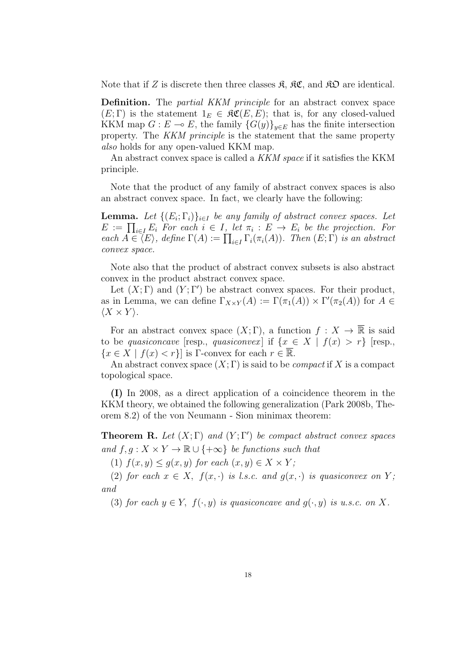Note that if Z is discrete then three classes  $\mathfrak{K}, \mathfrak{K} \mathfrak{C}$ , and  $\mathfrak{K} \mathfrak{D}$  are identical.

**Definition.** The *partial KKM principle* for an abstract convex space  $(E; \Gamma)$  is the statement  $1_E \in \mathfrak{RC}(E, E)$ ; that is, for any closed-valued KKM map  $G : E \to E$ , the family  $\{G(y)\}_{y \in E}$  has the finite intersection property. The *KKM principle* is the statement that the same property *also* holds for any open-valued KKM map.

An abstract convex space is called a *KKM space* if it satisfies the KKM principle.

Note that the product of any family of abstract convex spaces is also an abstract convex space. In fact, we clearly have the following:

**Lemma.** Let  $\{(E_i; \Gamma_i)\}_{i \in I}$  be any family of abstract convex spaces. Let  $E := \prod_{i \in I} E_i$  For each  $i \in I$ , let  $\pi_i : E \to E_i$  be the projection. For  $\text{each } A \in \langle E \rangle$ , define  $\Gamma(A) := \prod_{i \in I} \Gamma_i(\pi_i(A))$ *. Then*  $(E; \Gamma)$  *is an abstract convex space.*

Note also that the product of abstract convex subsets is also abstract convex in the product abstract convex space.

Let  $(X; \Gamma)$  and  $(Y; \Gamma')$  be abstract convex spaces. For their product, as in Lemma, we can define  $\Gamma_{X\times Y}(A) := \Gamma(\pi_1(A)) \times \Gamma'(\pi_2(A))$  for  $A \in$  $\langle X \times Y \rangle$ .

For an abstract convex space  $(X;\Gamma)$ , a function  $f: X \to \overline{\mathbb{R}}$  is said to be *quasiconcave* [resp., *quasiconvex*] if  $\{x \in X \mid f(x) > r\}$  [resp.,  ${x \in X \mid f(x) < r}$  is Γ-convex for each  $r \in \overline{\mathbb{R}}$ .

An abstract convex space  $(X;\Gamma)$  is said to be *compact* if X is a compact topological space.

**(I)** In 2008, as a direct application of a coincidence theorem in the KKM theory, we obtained the following generalization (Park 2008b, Theorem 8.2) of the von Neumann - Sion minimax theorem:

**Theorem R.** *Let*  $(X; \Gamma)$  *and*  $(Y; \Gamma')$  *be compact abstract convex spaces and*  $f, g: X \times Y \rightarrow \mathbb{R} \cup \{+\infty\}$  *be functions such that* 

(1)  $f(x, y) \leq g(x, y)$  *for each*  $(x, y) \in X \times Y$ ;

(2) *for each*  $x \in X$ ,  $f(x, \cdot)$  *is l.s.c. and*  $g(x, \cdot)$  *is quasiconvex on*  $Y$ ; *and*

(3) *for each*  $y \in Y$ ,  $f(\cdot, y)$  *is quasiconcave and*  $g(\cdot, y)$  *is u.s.c. on X.*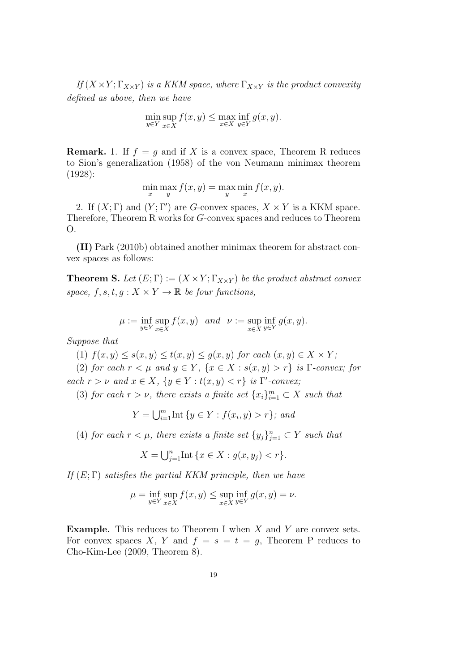$If (X \times Y; \Gamma_{X \times Y})$  *is a KKM space, where*  $\Gamma_{X \times Y}$  *is the product convexity defined as above, then we have*

$$
\min_{y \in Y} \sup_{x \in X} f(x, y) \le \max_{x \in X} \inf_{y \in Y} g(x, y).
$$

**Remark.** 1. If  $f = g$  and if X is a convex space, Theorem R reduces to Sion's generalization (1958) of the von Neumann minimax theorem (1928):

$$
\min_{x} \max_{y} f(x, y) = \max_{y} \min_{x} f(x, y).
$$

2. If  $(X; \Gamma)$  and  $(Y; \Gamma')$  are *G*-convex spaces,  $X \times Y$  is a KKM space. Therefore, Theorem R works for *G*-convex spaces and reduces to Theorem O.

**(II)** Park (2010b) obtained another minimax theorem for abstract convex spaces as follows:

**Theorem S.** Let  $(E; \Gamma) := (X \times Y; \Gamma_{X \times Y})$  be the product abstract convex *space,*  $f, s, t, q: X \times Y \rightarrow \overline{\mathbb{R}}$  *be four functions,* 

$$
\mu := \inf_{y \in Y} \sup_{x \in X} f(x, y) \quad and \quad \nu := \sup_{x \in X} \inf_{y \in Y} g(x, y).
$$

*Suppose that*

 $f(x, y) \leq s(x, y) \leq t(x, y) \leq g(x, y)$  *for each*  $(x, y) \in X \times Y$ ;

(2) *for each*  $r < \mu$  *and*  $y \in Y$ ,  $\{x \in X : s(x, y) > r\}$  *is*  $\Gamma$ *-convex; for each*  $r > \nu$  *and*  $x \in X$ ,  $\{y \in Y : t(x, y) < r\}$  *is*  $\Gamma'$ -*convex*;

(3) *for each*  $r > \nu$ *, there exists a finite set*  $\{x_i\}_{i=1}^m \subset X$  *such that* 

$$
Y = \bigcup_{i=1}^{m} \text{Int} \{ y \in Y : f(x_i, y) > r \}; \text{ and}
$$

(4) *for each*  $r < \mu$ *, there exists a finite set*  $\{y_j\}_{j=1}^n \subset Y$  *such that* 

$$
X = \bigcup_{j=1}^{n} \text{Int} \{x \in X : g(x, y_j) < r\}.
$$

*If* (*E*; Γ) *satisfies the partial KKM principle, then we have*

$$
\mu = \inf_{y \in Y} \sup_{x \in X} f(x, y) \le \sup_{x \in X} \inf_{y \in Y} g(x, y) = \nu.
$$

**Example.** This reduces to Theorem I when *X* and *Y* are convex sets. For convex spaces *X*, *Y* and  $f = s = t = g$ , Theorem P reduces to Cho-Kim-Lee (2009, Theorem 8).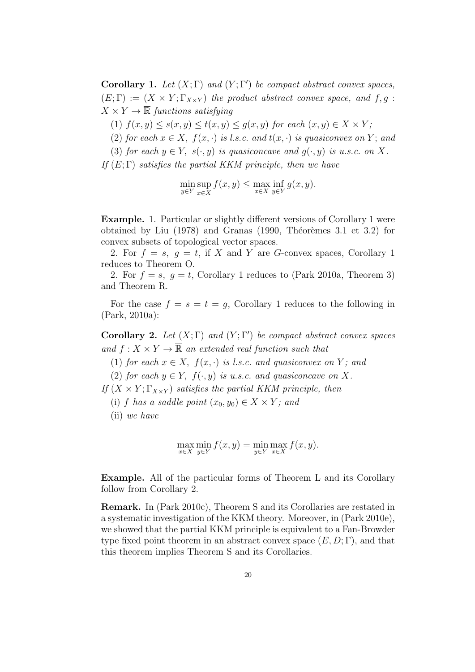**Corollary 1.** *Let*  $(X; \Gamma)$  *and*  $(Y; \Gamma')$  *be compact abstract convex spaces,*  $(E; \Gamma) := (X \times Y; \Gamma_{X \times Y})$  the product abstract convex space, and  $f, g$ :  $X \times Y \rightarrow \overline{\mathbb{R}}$  *functions satisfying* 

 $f(x, y) \leq s(x, y) \leq t(x, y) \leq g(x, y)$  *for each*  $(x, y) \in X \times Y$ ;

(2) *for each*  $x \in X$ ,  $f(x, \cdot)$  *is l.s.c. and*  $t(x, \cdot)$  *is quasiconvex on Y*; and

(3) *for each*  $y \in Y$ ,  $s(\cdot, y)$  *is quasiconcave and*  $g(\cdot, y)$  *is u.s.c. on X.* 

*If* (*E*; Γ) *satisfies the partial KKM principle, then we have*

$$
\min_{y \in Y} \sup_{x \in X} f(x, y) \le \max_{x \in X} \inf_{y \in Y} g(x, y).
$$

**Example.** 1. Particular or slightly different versions of Corollary 1 were obtained by Liu  $(1978)$  and Granas  $(1990,$  Théorèmes 3.1 et 3.2) for convex subsets of topological vector spaces.

2. For  $f = s$ ,  $g = t$ , if X and Y are G-convex spaces, Corollary 1 reduces to Theorem O.

2. For  $f = s$ ,  $q = t$ , Corollary 1 reduces to (Park 2010a, Theorem 3) and Theorem R.

For the case  $f = s = t = q$ , Corollary 1 reduces to the following in (Park, 2010a):

**Corollary 2.** *Let* (*X*; Γ) *and* (*Y* ; Γ*′* ) *be compact abstract convex spaces and*  $f: X \times Y \to \overline{\mathbb{R}}$  *an extended real function such that* 

(1) *for each*  $x \in X$ ,  $f(x, \cdot)$  *is l.s.c. and quasiconvex on Y*; and

(2) *for each*  $y \in Y$ ,  $f(\cdot, y)$  *is u.s.c. and quasiconcave on* X.

*If*  $(X \times Y; \Gamma_{X \times Y})$  *satisfies the partial KKM principle, then* 

(i) *f* has a saddle point  $(x_0, y_0) \in X \times Y$ ; and

(ii) *we have*

$$
\max_{x \in X} \min_{y \in Y} f(x, y) = \min_{y \in Y} \max_{x \in X} f(x, y).
$$

**Example.** All of the particular forms of Theorem L and its Corollary follow from Corollary 2.

**Remark.** In (Park 2010c), Theorem S and its Corollaries are restated in a systematic investigation of the KKM theory. Moreover, in (Park 2010e), we showed that the partial KKM principle is equivalent to a Fan-Browder type fixed point theorem in an abstract convex space  $(E, D; \Gamma)$ , and that this theorem implies Theorem S and its Corollaries.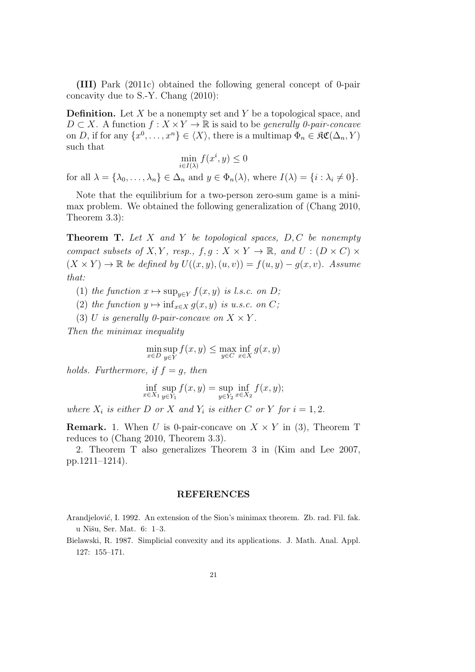**(III)** Park (2011c) obtained the following general concept of 0-pair concavity due to S.-Y. Chang (2010):

**Definition.** Let *X* be a nonempty set and *Y* be a topological space, and  $D \subset X$ . A function  $f: X \times Y \to \mathbb{R}$  is said to be *generally 0-pair-concave* on *D*, if for any  $\{x^0, \ldots, x^n\} \in \langle X \rangle$ , there is a multimap  $\Phi_n \in \mathfrak{RC}(\Delta_n, Y)$ such that

$$
\min_{i \in I(\lambda)} f(x^i, y) \le 0
$$

for all  $\lambda = {\lambda_0, \ldots, \lambda_n} \in \Delta_n$  and  $y \in \Phi_n(\lambda)$ , where  $I(\lambda) = {i : \lambda_i \neq 0}$ .

Note that the equilibrium for a two-person zero-sum game is a minimax problem. We obtained the following generalization of (Chang 2010, Theorem 3.3):

**Theorem T.** *Let X and Y be topological spaces, D, C be nonempty compact subsets of*  $X, Y$ *, resp.,*  $f, g : X \times Y \to \mathbb{R}$ *, and*  $U : (D \times C) \times Y$  $(X \times Y)$  → R *be defined by*  $U((x, y), (u, v)) = f(u, y) - g(x, v)$ *. Assume that:*

(1) *the function*  $x \mapsto \sup_{y \in Y} f(x, y)$  *is l.s.c. on D*;

(2) *the function*  $y \mapsto \inf_{x \in X} g(x, y)$  *is u.s.c. on C*;

(3) *U is generally 0-pair-concave on*  $X \times Y$ .

*Then the minimax inequality*

$$
\min_{x \in D} \sup_{y \in Y} f(x, y) \le \max_{y \in C} \inf_{x \in X} g(x, y)
$$

*holds.* Furthermore, if  $f = g$ , then

$$
\inf_{x \in X_1} \sup_{y \in Y_1} f(x, y) = \sup_{y \in Y_2} \inf_{x \in X_2} f(x, y);
$$

*where*  $X_i$  *is either*  $D$  *or*  $X$  *and*  $Y_i$  *is either*  $C$  *or*  $Y$  *for*  $i = 1, 2$ *.* 

**Remark.** 1. When *U* is 0-pair-concave on  $X \times Y$  in (3), Theorem T reduces to (Chang 2010, Theorem 3.3).

2. Theorem T also generalizes Theorem 3 in (Kim and Lee 2007, pp.1211–1214).

#### **REFERENCES**

Arandjelović, I. 1992. An extension of the Sion's minimax theorem. Zb. rad. Fil. fak. u Nišu, Ser. Mat. 6: 1-3.

Bielawski, R. 1987. Simplicial convexity and its applications. J. Math. Anal. Appl. 127: 155–171.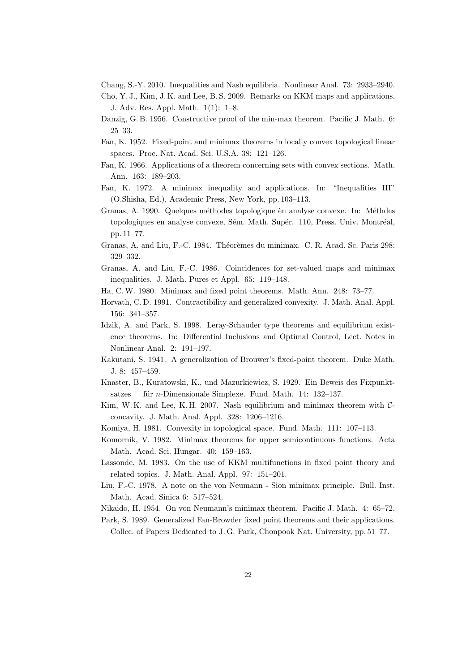- Chang, S.-Y. 2010. Inequalities and Nash equilibria. Nonlinear Anal. 73: 2933–2940.
- Cho, Y. J., Kim, J. K. and Lee, B. S. 2009. Remarks on KKM maps and applications. J. Adv. Res. Appl. Math. 1(1): 1–8.
- Danzig, G. B. 1956. Constructive proof of the min-max theorem. Pacific J. Math. 6: 25–33.
- Fan, K. 1952. Fixed-point and minimax theorems in locally convex topological linear spaces. Proc. Nat. Acad. Sci. U.S.A. 38: 121–126.
- Fan, K. 1966. Applications of a theorem concerning sets with convex sections. Math. Ann. 163: 189–203.
- Fan, K. 1972. A minimax inequality and applications. In: "Inequalities III" (O.Shisha, Ed.), Academic Press, New York, pp. 103–113.
- Granas, A. 1990. Quelques méthodes topologique èn analyse convexe. In: Méthdes topologiques en analyse convexe, Sém. Math. Supér. 110, Press. Univ. Montréal, pp. 11–77.
- Granas, A. and Liu, F.-C. 1984. Théorèmes du minimax. C. R. Acad. Sc. Paris 298: 329–332.
- Granas, A. and Liu, F.-C. 1986. Coincidences for set-valued maps and minimax inequalities. J. Math. Pures et Appl. 65: 119–148.
- Ha, C.W. 1980. Minimax and fixed point theorems. Math. Ann. 248: 73–77.
- Horvath, C. D. 1991. Contractibility and generalized convexity. J. Math. Anal. Appl. 156: 341–357.
- Idzik, A. and Park, S. 1998. Leray-Schauder type theorems and equilibrium existence theorems. In: Differential Inclusions and Optimal Control, Lect. Notes in Nonlinear Anal. 2: 191–197.
- Kakutani, S. 1941. A generalization of Brouwer's fixed-point theorem. Duke Math. J. 8: 457–459.
- Knaster, B., Kuratowski, K., und Mazurkiewicz, S. 1929. Ein Beweis des Fixpunktsatzes für *n*-Dimensionale Simplexe. Fund. Math. 14: 132–137.
- Kim, W. K. and Lee, K. H. 2007. Nash equilibrium and minimax theorem with *C*concavity. J. Math. Anal. Appl. 328: 1206–1216.
- Komiya, H. 1981. Convexity in topological space. Fund. Math. 111: 107–113.
- Komornik, V. 1982. Minimax theorems for upper semicontinuous functions. Acta Math. Acad. Sci. Hungar. 40: 159–163.
- Lassonde, M. 1983. On the use of KKM multifunctions in fixed point theory and related topics. J. Math. Anal. Appl. 97: 151–201.
- Liu, F.-C. 1978. A note on the von Neumann Sion minimax principle. Bull. Inst. Math. Acad. Sinica 6: 517–524.
- Nikaido, H. 1954. On von Neumann's minimax theorem. Pacific J. Math. 4: 65–72.

Park, S. 1989. Generalized Fan-Browder fixed point theorems and their applications. Collec. of Papers Dedicated to J. G. Park, Chonpook Nat. University, pp. 51–77.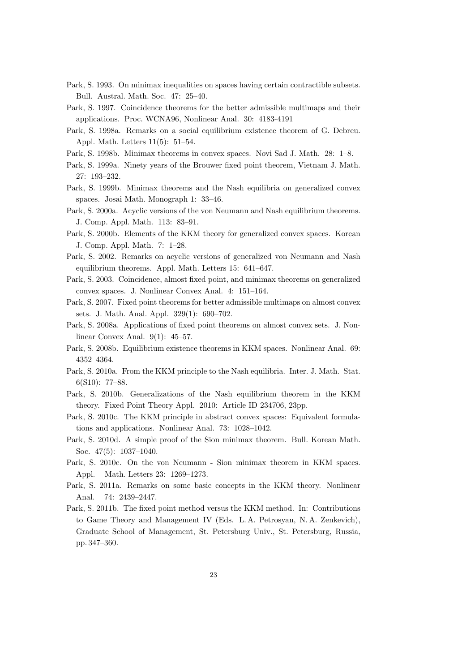- Park, S. 1993. On minimax inequalities on spaces having certain contractible subsets. Bull. Austral. Math. Soc. 47: 25–40.
- Park, S. 1997. Coincidence theorems for the better admissible multimaps and their applications. Proc. WCNA96, Nonlinear Anal. 30: 4183-4191
- Park, S. 1998a. Remarks on a social equilibrium existence theorem of G. Debreu. Appl. Math. Letters 11(5): 51–54.
- Park, S. 1998b. Minimax theorems in convex spaces. Novi Sad J. Math. 28: 1–8.
- Park, S. 1999a. Ninety years of the Brouwer fixed point theorem, Vietnam J. Math. 27: 193–232.
- Park, S. 1999b. Minimax theorems and the Nash equilibria on generalized convex spaces. Josai Math. Monograph 1: 33–46.
- Park, S. 2000a. Acyclic versions of the von Neumann and Nash equilibrium theorems. J. Comp. Appl. Math. 113: 83–91.
- Park, S. 2000b. Elements of the KKM theory for generalized convex spaces. Korean J. Comp. Appl. Math. 7: 1–28.
- Park, S. 2002. Remarks on acyclic versions of generalized von Neumann and Nash equilibrium theorems. Appl. Math. Letters 15: 641–647.
- Park, S. 2003. Coincidence, almost fixed point, and minimax theorems on generalized convex spaces. J. Nonlinear Convex Anal. 4: 151–164.
- Park, S. 2007. Fixed point theorems for better admissible multimaps on almost convex sets. J. Math. Anal. Appl. 329(1): 690–702.
- Park, S. 2008a. Applications of fixed point theorems on almost convex sets. J. Nonlinear Convex Anal. 9(1): 45–57.
- Park, S. 2008b. Equilibrium existence theorems in KKM spaces. Nonlinear Anal. 69: 4352–4364.
- Park, S. 2010a. From the KKM principle to the Nash equilibria. Inter. J. Math. Stat. 6(S10): 77–88.
- Park, S. 2010b. Generalizations of the Nash equilibrium theorem in the KKM theory. Fixed Point Theory Appl. 2010: Article ID 234706, 23pp.
- Park, S. 2010c. The KKM principle in abstract convex spaces: Equivalent formulations and applications. Nonlinear Anal. 73: 1028–1042.
- Park, S. 2010d. A simple proof of the Sion minimax theorem. Bull. Korean Math. Soc. 47(5): 1037–1040.
- Park, S. 2010e. On the von Neumann Sion minimax theorem in KKM spaces. Appl. Math. Letters 23: 1269–1273.
- Park, S. 2011a. Remarks on some basic concepts in the KKM theory. Nonlinear Anal. 74: 2439–2447.
- Park, S. 2011b. The fixed point method versus the KKM method. In: Contributions to Game Theory and Management IV (Eds. L. A. Petrosyan, N. A. Zenkevich), Graduate School of Management, St. Petersburg Univ., St. Petersburg, Russia, pp. 347–360.